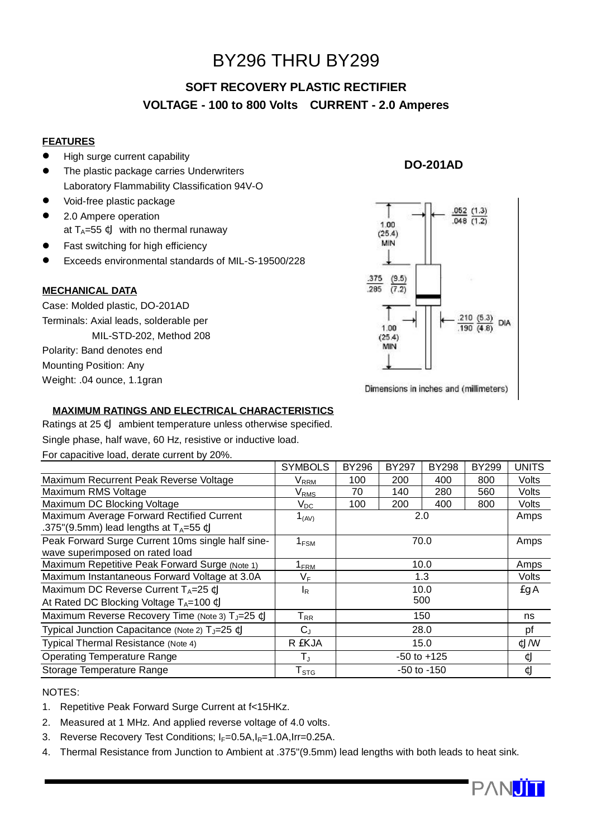# BY296 THRU BY299

## **SOFT RECOVERY PLASTIC RECTIFIER VOLTAGE - 100 to 800 Volts CURRENT - 2.0 Amperes**

## **FEATURES**

- High surge current capability
- The plastic package carries Underwriters Laboratory Flammability Classification 94V-O
- $\bullet$  Void-free plastic package
- 2.0 Ampere operation at  $T_A=55$  ¢J with no thermal runaway
- Fast switching for high efficiency
- l Exceeds environmental standards of MIL-S-19500/228

### **MECHANICAL DATA**

Case: Molded plastic, DO-201AD Terminals: Axial leads, solderable per MIL-STD-202, Method 208 Polarity: Band denotes end Mounting Position: Any Weight: .04 ounce, 1.1gran

## **DO-201AD**



Dimensions in inches and (millimeters)

## **MAXIMUM RATINGS AND ELECTRICAL CHARACTERISTICS**

Ratings at 25 ¢J ambient temperature unless otherwise specified.

Single phase, half wave, 60 Hz, resistive or inductive load.

For capacitive load, derate current by 20%.

|                                                                                                       | <b>SYMBOLS</b>              | <b>BY296</b>    | <b>BY297</b> | <b>BY298</b> | <b>BY299</b> | <b>UNITS</b> |
|-------------------------------------------------------------------------------------------------------|-----------------------------|-----------------|--------------|--------------|--------------|--------------|
| Maximum Recurrent Peak Reverse Voltage                                                                | V <sub>RRM</sub>            | 100             | 200          | 400          | 800          | Volts        |
| Maximum RMS Voltage                                                                                   | $\rm V_{RMS}$               | 70              | 140          | 280          | 560          | Volts        |
| Maximum DC Blocking Voltage                                                                           | $V_{DC}$                    | 100             | 200          | 400          | 800          | Volts        |
| Maximum Average Forward Rectified Current<br>.375"(9.5mm) lead lengths at $T_A = 55 \text{ }\text{C}$ | $1_{(AV)}$                  | 2.0             |              |              |              | Amps         |
| Peak Forward Surge Current 10ms single half sine-<br>wave superimposed on rated load                  | $1_{FSM}$                   | 70.0            |              |              |              | Amps         |
| Maximum Repetitive Peak Forward Surge (Note 1)                                                        | $1_{\sf FRM}$               | 10.0            |              |              |              | Amps         |
| Maximum Instantaneous Forward Voltage at 3.0A                                                         | $V_F$                       | 1.3             |              |              |              | Volts        |
| Maximum DC Reverse Current $T_A = 25 \text{ }\mathfrak{C}$                                            | $I_R$                       | 10.0            |              |              |              | EqA          |
| At Rated DC Blocking Voltage $T_A = 100 \text{ }\text{C}$                                             |                             | 500             |              |              |              |              |
| Maximum Reverse Recovery Time (Note 3) T <sub>J</sub> =25 ¢J                                          | $T_{RR}$                    | 150             |              |              |              | ns           |
| Typical Junction Capacitance (Note 2) T <sub>J</sub> =25 ¢J                                           | $C_{J}$                     | 28.0            |              |              |              | pf           |
| Typical Thermal Resistance (Note 4)                                                                   | R EKJA                      | 15.0            |              |              |              | ¢J/W         |
| <b>Operating Temperature Range</b>                                                                    | $T_{\rm J}$                 | $-50$ to $+125$ |              |              |              | ¢J           |
| Storage Temperature Range                                                                             | $\mathsf{T}_{\textsf{STG}}$ | $-50$ to $-150$ |              |              |              | ¢J           |

### NOTES:

- 1. Repetitive Peak Forward Surge Current at f<15HKz.
- 2. Measured at 1 MHz. And applied reverse voltage of 4.0 volts.
- 3. Reverse Recovery Test Conditions;  $I_F=0.5A$ , $I_R=1.0A$ , Irr=0.25A.
- 4. Thermal Resistance from Junction to Ambient at .375"(9.5mm) lead lengths with both leads to heat sink.